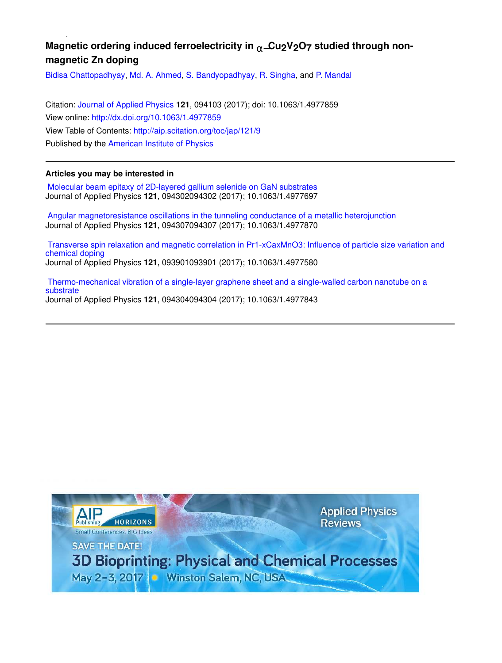# **Magnetic ordering induced ferroelectricity in** α−**Cu2V2O7 studied through nonmagnetic Zn doping**

Bidisa Chattopadhyay, Md. A. Ahmed, S. Bandyopadhyay, R. Singha, and P. Mandal

Citation: Journal of Applied Physics **121**, 094103 (2017); doi: 10.1063/1.4977859 View online: http://dx.doi.org/10.1063/1.4977859 View Table of Contents: http://aip.scitation.org/toc/jap/121/9 Published by the American Institute of Physics

### **Articles you may be interested in**

 Molecular beam epitaxy of 2D-layered gallium selenide on GaN substrates Journal of Applied Physics **121**, 094302094302 (2017); 10.1063/1.4977697

 Angular magnetoresistance oscillations in the tunneling conductance of a metallic heterojunction Journal of Applied Physics **121**, 094307094307 (2017); 10.1063/1.4977870

 Transverse spin relaxation and magnetic correlation in Pr1-xCaxMnO3: Influence of particle size variation and chemical doping Journal of Applied Physics **121**, 093901093901 (2017); 10.1063/1.4977580

 Thermo-mechanical vibration of a single-layer graphene sheet and a single-walled carbon nanotube on a substrate Journal of Applied Physics **121**, 094304094304 (2017); 10.1063/1.4977843

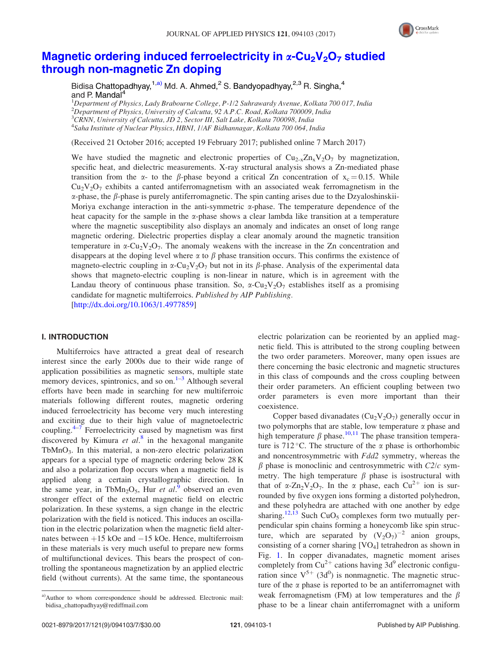

## Magnetic ordering induced ferroelectricity in  $\alpha$ -Cu<sub>2</sub>V<sub>2</sub>O<sub>7</sub> studied through non-magnetic Zn doping

Bidisa Chattopadhyay,<sup>1,a)</sup> Md. A. Ahmed,<sup>2</sup> S. Bandyopadhyay,<sup>2,3</sup> R. Singha,<sup>4</sup> and P. Mandal<sup>4</sup>

<sup>1</sup>Department of Physics, Lady Brabourne College, P-1/2 Suhrawardy Avenue, Kolkata 700 017, India  $^2$ Department of Physics, University of Calcutta, 92 A.P.C. Road, Kolkata 700009, India  $3$ CRNN, University of Calcutta, JD 2, Sector III, Salt Lake, Kolkata 700098, India <sup>4</sup>Saha Institute of Nuclear Physics, HBNI, 1/AF Bidhannagar, Kolkata 700 064, India

(Received 21 October 2016; accepted 19 February 2017; published online 7 March 2017)

We have studied the magnetic and electronic properties of  $Cu_{2-x}Zn_xV_2O_7$  by magnetization, specific heat, and dielectric measurements. X-ray structural analysis shows a Zn-mediated phase transition from the  $\alpha$ - to the  $\beta$ -phase beyond a critical Zn concentration of  $x_c = 0.15$ . While  $Cu<sub>2</sub>V<sub>2</sub>O<sub>7</sub>$  exhibits a canted antiferromagnetism with an associated weak ferromagnetism in the  $\alpha$ -phase, the  $\beta$ -phase is purely antiferromagnetic. The spin canting arises due to the Dzyaloshinskii-Moriya exchange interaction in the anti-symmetric  $\alpha$ -phase. The temperature dependence of the heat capacity for the sample in the  $\alpha$ -phase shows a clear lambda like transition at a temperature where the magnetic susceptibility also displays an anomaly and indicates an onset of long range magnetic ordering. Dielectric properties display a clear anomaly around the magnetic transition temperature in  $\alpha$ -Cu<sub>2</sub>V<sub>2</sub>O<sub>7</sub>. The anomaly weakens with the increase in the Zn concentration and disappears at the doping level where  $\alpha$  to  $\beta$  phase transition occurs. This confirms the existence of magneto-electric coupling in  $\alpha$ -Cu<sub>2</sub>V<sub>2</sub>O<sub>7</sub> but not in its  $\beta$ -phase. Analysis of the experimental data shows that magneto-electric coupling is non-linear in nature, which is in agreement with the Landau theory of continuous phase transition. So,  $\alpha$ -Cu<sub>2</sub>V<sub>2</sub>O<sub>7</sub> establishes itself as a promising candidate for magnetic multiferroics. Published by AIP Publishing.

[http://dx.doi.org/10.1063/1.4977859]

#### I. INTRODUCTION

Multiferroics have attracted a great deal of research interest since the early 2000s due to their wide range of application possibilities as magnetic sensors, multiple state memory devices, spintronics, and so on. $1-3$  Although several efforts have been made in searching for new multiferroic materials following different routes, magnetic ordering induced ferroelectricity has become very much interesting and exciting due to their high value of magnetoelectric coupling. $4\overline{7}$  Ferroelectricity caused by magnetism was first discovered by Kimura et  $al$ <sup>8</sup> in the hexagonal manganite TbMnO3. In this material, a non-zero electric polarization appears for a special type of magnetic ordering below 28 K and also a polarization flop occurs when a magnetic field is applied along a certain crystallographic direction. In the same year, in TbMn<sub>2</sub>O<sub>5</sub>, Hur et al.<sup>9</sup> observed an even stronger effect of the external magnetic field on electric polarization. In these systems, a sign change in the electric polarization with the field is noticed. This induces an oscillation in the electric polarization when the magnetic field alternates between  $+15$  kOe and  $-15$  kOe. Hence, multiferroism in these materials is very much useful to prepare new forms of multifunctional devices. This bears the prospect of controlling the spontaneous magnetization by an applied electric field (without currents). At the same time, the spontaneous electric polarization can be reoriented by an applied magnetic field. This is attributed to the strong coupling between the two order parameters. Moreover, many open issues are there concerning the basic electronic and magnetic structures in this class of compounds and the cross coupling between their order parameters. An efficient coupling between two order parameters is even more important than their coexistence.

Copper based divanadates  $(Cu_2V_2O_7)$  generally occur in two polymorphs that are stable, low temperature  $\alpha$  phase and high temperature  $\beta$  phase.<sup>10,11</sup> The phase transition temperature is 712 °C. The structure of the  $\alpha$  phase is orthorhombic and noncentrosymmetric with Fdd2 symmetry, whereas the  $\beta$  phase is monoclinic and centrosymmetric with  $C2/c$  symmetry. The high temperature  $\beta$  phase is isostructural with that of  $\alpha$ -Zn<sub>2</sub>V<sub>2</sub>O<sub>7</sub>. In the  $\alpha$  phase, each Cu<sup>2+</sup> ion is surrounded by five oxygen ions forming a distorted polyhedron, and these polyhedra are attached with one another by edge sharing.<sup>12,13</sup> Such CuO<sub>5</sub> complexes form two mutually perpendicular spin chains forming a honeycomb like spin structure, which are separated by  $(V_2O_7)^{-2}$  anion groups, consisting of a corner sharing [VO4] tetrahedron as shown in Fig. 1. In copper divanadates, magnetic moment arises completely from Cu<sup>2+</sup> cations having  $3d^9$  electronic configuration since  $V^{5+}$  (3d<sup>0</sup>) is nonmagnetic. The magnetic structure of the  $\alpha$  phase is reported to be an antiferromagnet with weak ferromagnetism (FM) at low temperatures and the  $\beta$ phase to be a linear chain antiferromagnet with a uniform

a)Author to whom correspondence should be addressed. Electronic mail: bidisa\_chattopadhyay@rediffmail.com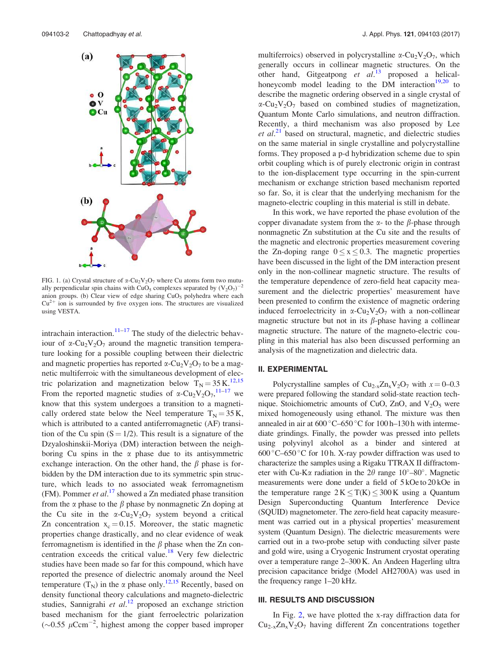

FIG. 1. (a) Crystal structure of  $\alpha$ -Cu<sub>2</sub>V<sub>2</sub>O<sub>7</sub> where Cu atoms form two mutually perpendicular spin chains with CuO<sub>5</sub> complexes separated by  $(V_2O_7)^{-2}$ anion groups. (b) Clear view of edge sharing  $CuO<sub>5</sub>$  polyhedra where each  $Cu<sup>2+</sup>$  ion is surrounded by five oxygen ions. The structures are visualized using VESTA.

intrachain interaction. $11-17$  The study of the dielectric behaviour of  $\alpha$ -Cu<sub>2</sub>V<sub>2</sub>O<sub>7</sub> around the magnetic transition temperature looking for a possible coupling between their dielectric and magnetic properties has reported  $\alpha$ -Cu<sub>2</sub>V<sub>2</sub>O<sub>7</sub> to be a magnetic multiferroic with the simultaneous development of electric polarization and magnetization below  $T_N = 35 \text{ K}^{12,15}$ From the reported magnetic studies of  $\alpha$ -Cu<sub>2</sub>V<sub>2</sub>O<sub>7</sub>,<sup>11–17</sup> we know that this system undergoes a transition to a magnetically ordered state below the Neel temperature  $T_N = 35 \text{ K}$ , which is attributed to a canted antiferromagnetic (AF) transition of the Cu spin  $(S = 1/2)$ . This result is a signature of the Dzyaloshinskii-Moriya (DM) interaction between the neighboring Cu spins in the  $\alpha$  phase due to its antisymmetric exchange interaction. On the other hand, the  $\beta$  phase is forbidden by the DM interaction due to its symmetric spin structure, which leads to no associated weak ferromagnetism (FM). Pommer et  $al$ .<sup>17</sup> showed a Zn mediated phase transition from the  $\alpha$  phase to the  $\beta$  phase by nonmagnetic Zn doping at the Cu site in the  $\alpha$ -Cu<sub>2</sub>V<sub>2</sub>O<sub>7</sub> system beyond a critical Zn concentration  $x_c = 0.15$ . Moreover, the static magnetic properties change drastically, and no clear evidence of weak ferromagnetism is identified in the  $\beta$  phase when the Zn concentration exceeds the critical value.<sup>18</sup> Very few dielectric studies have been made so far for this compound, which have reported the presence of dielectric anomaly around the Neel temperature  $(T_N)$  in the  $\alpha$  phase only.<sup>12,15</sup> Recently, based on density functional theory calculations and magneto-dielectric studies, Sannigrahi et al.<sup>12</sup> proposed an exchange striction based mechanism for the giant ferroelectric polarization  $(\sim 0.55 \, \mu \text{Ccm}^{-2}$ , highest among the copper based improper multiferroics) observed in polycrystalline  $\alpha$ -Cu<sub>2</sub>V<sub>2</sub>O<sub>7</sub>, which generally occurs in collinear magnetic structures. On the other hand, Gitgeatpong et  $al$ <sup>13</sup> proposed a helicalhoneycomb model leading to the DM interaction<sup>19,20</sup> to describe the magnetic ordering observed in a single crystal of  $\alpha$ -Cu<sub>2</sub>V<sub>2</sub>O<sub>7</sub> based on combined studies of magnetization, Quantum Monte Carlo simulations, and neutron diffraction. Recently, a third mechanism was also proposed by Lee  $et$   $al$ <sup>21</sup> based on structural, magnetic, and dielectric studies on the same material in single crystalline and polycrystalline forms. They proposed a p-d hybridization scheme due to spin orbit coupling which is of purely electronic origin in contrast to the ion-displacement type occurring in the spin-current mechanism or exchange striction based mechanism reported so far. So, it is clear that the underlying mechanism for the magneto-electric coupling in this material is still in debate.

In this work, we have reported the phase evolution of the copper divanadate system from the  $\alpha$ - to the  $\beta$ -phase through nonmagnetic Zn substitution at the Cu site and the results of the magnetic and electronic properties measurement covering the Zn-doping range  $0 \le x \le 0.3$ . The magnetic properties have been discussed in the light of the DM interaction present only in the non-collinear magnetic structure. The results of the temperature dependence of zero-field heat capacity measurement and the dielectric properties' measurement have been presented to confirm the existence of magnetic ordering induced ferroelectricity in  $\alpha$ -Cu<sub>2</sub>V<sub>2</sub>O<sub>7</sub> with a non-collinear magnetic structure but not in its  $\beta$ -phase having a collinear magnetic structure. The nature of the magneto-electric coupling in this material has also been discussed performing an analysis of the magnetization and dielectric data.

#### II. EXPERIMENTAL

Polycrystalline samples of  $Cu_{2-x}Zn_xV_2O_7$  with  $x=0-0.3$ were prepared following the standard solid-state reaction technique. Stoichiometric amounts of CuO, ZnO, and  $V_2O_5$  were mixed homogeneously using ethanol. The mixture was then annealed in air at  $600^{\circ}$ C–650 $^{\circ}$ C for 100 h–130 h with intermediate grindings. Finally, the powder was pressed into pellets using polyvinyl alcohol as a binder and sintered at 600 °C–650 °C for 10 h. X-ray powder diffraction was used to characterize the samples using a Rigaku TTRAX II diffractometer with Cu-K $\alpha$  radiation in the 2 $\theta$  range 10°–80°. Magnetic measurements were done under a field of  $5 kOe$  to  $20 kOe$  in the temperature range  $2 K \leq T(K) \leq 300 K$  using a Quantum Design Superconducting Quantum Interference Device (SQUID) magnetometer. The zero-field heat capacity measurement was carried out in a physical properties' measurement system (Quantum Design). The dielectric measurements were carried out in a two-probe setup with conducting silver paste and gold wire, using a Cryogenic Instrument cryostat operating over a temperature range 2–300 K. An Andeen Hagerling ultra precision capacitance bridge (Model AH2700A) was used in the frequency range 1–20 kHz.

#### III. RESULTS AND DISCUSSION

In Fig. 2, we have plotted the x-ray diffraction data for  $Cu_{2-x}Zn_xV_2O_7$  having different Zn concentrations together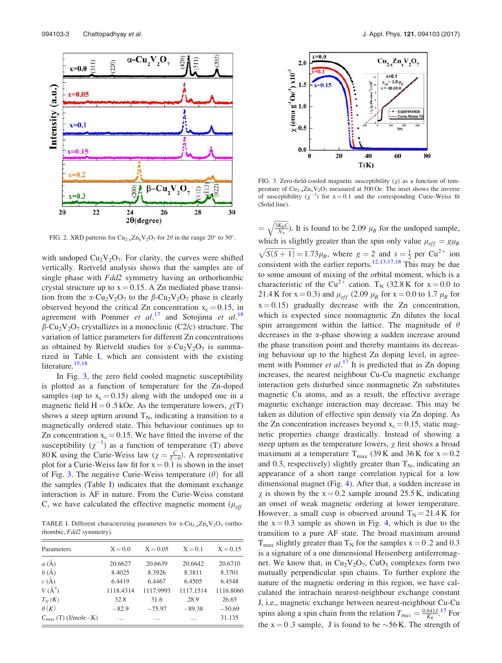

FIG. 2. XRD patterns for Cu<sub>2-x</sub>Zn<sub>x</sub>V<sub>2</sub>O<sub>7</sub> for 2 $\theta$  in the range 20° to 30°.

with undoped  $Cu<sub>2</sub>V<sub>2</sub>O<sub>7</sub>$ . For clarity, the curves were shifted vertically. Rietveld analysis shows that the samples are of single phase with *Fdd2* symmetry having an orthorhombic crystal structure up to  $x = 0.15$ . A Zn mediated phase transition from the  $\alpha$ -Cu<sub>2</sub>V<sub>2</sub>O<sub>7</sub> to the  $\beta$ -Cu<sub>2</sub>V<sub>2</sub>O<sub>7</sub> phase is clearly observed beyond the critical Zn concentration  $x_c = 0.15$ , in agreement with Pommer et  $al$ .<sup>17</sup> and Sotojima et  $al$ .<sup>18</sup>  $\beta$ -Cu<sub>2</sub>V<sub>2</sub>O<sub>7</sub> crystallizes in a monoclinic (C2/c) structure. The variation of lattice parameters for different Zn concentrations as obtained by Rietveld studies for  $\alpha$ -Cu<sub>2</sub>V<sub>2</sub>O<sub>7</sub> is summarized in Table I, which are consistent with the existing literature.<sup>15,18</sup>

In Fig. 3, the zero field cooled magnetic susceptibility is plotted as a function of temperature for the Zn-doped samples (up to  $x_c = 0.15$ ) along with the undoped one in a magnetic field  $H = 0.5$  kOe. As the temperature lowers,  $\chi(T)$ shows a steep upturn around  $T_N$ , indicating a transition to a magnetically ordered state. This behaviour continues up to Zn concentration  $x_c = 0.15$ . We have fitted the inverse of the susceptibility  $(\chi^{-1})$  as a function of temperature (T) above 80 K using the Curie-Weiss law ( $\chi = \frac{C}{T-\theta}$ ). A representative plot for a Curie-Weiss law fit for  $x = 0.1$  is shown in the inset of Fig. 3. The negative Curie-Weiss temperature  $(\theta)$  for all the samples (Table I) indicates that the dominant exchange interaction is AF in nature. From the Curie-Weiss constant C, we have calculated the effective magnetic moment ( $\mu_{\text{eff}}$ )

TABLE I. Different characterizing parameters for  $\alpha$ -Cu<sub>2-x</sub>Zn<sub>x</sub>V<sub>2</sub>O<sub>7</sub> (orthorhombic, Fdd2 symmetry).

| Parameters                      | $X = 0.0$ | $X = 0.05$ | $X = 0.1$ | $X = 0.15$ |
|---------------------------------|-----------|------------|-----------|------------|
| $a(\AA)$                        | 20.6627   | 20.6639    | 20.6642   | 20.6710    |
| $b(\AA)$                        | 8.4025    | 8.3926     | 8.3811    | 8.3701     |
| $c(\AA)$                        | 6.4419    | 6.4467     | 6.4505    | 6.4548     |
| $V(A^3)$                        | 1118.4314 | 1117.9993  | 1117.1514 | 1116.8060  |
| $T_N(K)$                        | 32.8      | 31.6       | 28.9      | 26.65      |
| $\theta(K)$                     | $-82.9$   | $-75.97$   | $-89.38$  | $-50.69$   |
| $C_{\text{max}}$ (T) (J/mole–K) | .         | .          | .         | 31.135     |



FIG. 3. Zero-field-cooled magnetic susceptibility  $(\chi)$  as a function of temperature of  $Cu_{2-x}Zn_xV_2O_7$  measured at 500 Oe. The inset shows the inverse of susceptibility  $(\chi^{-1})$  for  $x = 0.1$  and the corresponding Curie-Weiss fit (Solid line).

 $=\sqrt{\frac{3K_B C}{N_A}}$ ). It is found to be 2.09  $\mu_B$  for the undoped sample, which is slightly greater than the spin only value  $\mu_{eff} = g\mu_B$  $\sqrt{S(S+1)} = 1.73 \mu_B$ , where  $g = 2$  and  $s = \frac{1}{2}$  per Cu<sup>2+</sup> ion consistent with the earlier reports.<sup>12,13,17,18</sup> This may be due to some amount of mixing of the orbital moment, which is a characteristic of the Cu<sup>2+</sup> cation. T<sub>N</sub> (32.8 K for  $x = 0.0$  to 21.4 K for  $x = 0.3$ ) and  $\mu_{eff}$  (2.09  $\mu_B$  for  $x = 0.0$  to 1.7  $\mu_B$  for  $x = 0.15$ ) gradually decrease with the Zn concentration, which is expected since nonmagnetic Zn dilutes the local spin arrangement within the lattice. The magnitude of  $\theta$ decreases in the a-phase showing a sudden increase around the phase transition point and thereby maintains its decreasing behaviour up to the highest Zn doping level, in agreement with Pommer et  $al$ .<sup>17</sup> It is predicted that as Zn doping increases, the nearest neighbour Cu-Cu magnetic exchange interaction gets disturbed since nonmagnetic Zn substitutes magnetic Cu atoms, and as a result, the effective average magnetic exchange interaction may decrease. This may be taken as dilution of effective spin density via Zn doping. As the Zn concentration increases beyond  $x_c = 0.15$ , static magnetic properties change drastically. Instead of showing a steep upturn as the temperature lowers,  $\chi$  first shows a broad maximum at a temperature  $T_{\text{max}}$  (39 K and 36 K for  $x = 0.2$ ) and 0.3, respectively) slightly greater than  $T_N$ , indicating an appearance of a short range correlation typical for a low dimensional magnet (Fig. 4). After that, a sudden increase in  $\chi$  is shown by the  $x = 0.2$  sample around 25.5 K, indicating an onset of weak magnetic ordering at lower temperature. However, a small cusp is observed around  $T_N = 21.4 \text{ K}$  for the  $x = 0.3$  sample as shown in Fig. 4, which is due to the transition to a pure AF state. The broad maximum around  $T_{\text{max}}$  slightly greater than  $T_N$  for the samples  $x = 0.2$  and 0.3 is a signature of a one dimensional Heisenberg antiferromagnet. We know that, in  $Cu_2V_2O_7$ ,  $CuO_5$  complexes form two mutually perpendicular spin chains. To further explore the nature of the magnetic ordering in this region, we have calculated the intrachain nearest-neighbour exchange constant J, i.e., magnetic exchange between nearest-neighbour Cu-Cu spins along a spin chain from the relation  $T_{max} = \frac{0.641J}{K_B}$ .<sup>17</sup> For the  $x = 0.3$  sample, J is found to be  $\sim$ 56 K. The strength of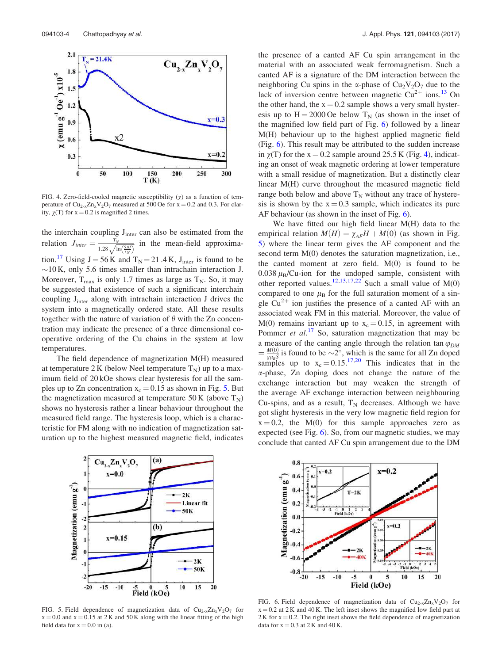

FIG. 4. Zero-field-cooled magnetic susceptibility  $(y)$  as a function of temperature of  $Cu_{2-x}Zn_xV_2O_7$  measured at 500 Oe for  $x = 0.2$  and 0.3. For clarity,  $\gamma(T)$  for  $x = 0.2$  is magnified 2 times.

the interchain coupling  $J<sub>inter</sub>$  can also be estimated from the relation  $J_{inter} = \frac{T_N}{1.28 \text{ A}}$  $\frac{I_N}{1.28\sqrt{\ln\left(\frac{5\pi}{I_N}\right)}}$  in the mean-field approximation.<sup>17</sup> Using  $J = 56 K$  and  $T_N = 21.4 K$ , J<sub>inter</sub> is found to be  $\sim$ 10 K, only 5.6 times smaller than intrachain interaction J. Moreover,  $T_{\text{max}}$  is only 1.7 times as large as  $T_N$ . So, it may be suggested that existence of such a significant interchain coupling  $J<sub>inter</sub>$  along with intrachain interaction  $J$  drives the system into a magnetically ordered state. All these results together with the nature of variation of  $\theta$  with the Zn concentration may indicate the presence of a three dimensional cooperative ordering of the Cu chains in the system at low temperatures.

The field dependence of magnetization M(H) measured at temperature 2 K (below Neel temperature  $T_N$ ) up to a maximum field of 20 kOe shows clear hysteresis for all the samples up to Zn concentration  $x_c = 0.15$  as shown in Fig. 5. But the magnetization measured at temperature 50 K (above  $T_N$ ) shows no hysteresis rather a linear behaviour throughout the measured field range. The hysteresis loop, which is a characteristic for FM along with no indication of magnetization saturation up to the highest measured magnetic field, indicates the presence of a canted AF Cu spin arrangement in the material with an associated weak ferromagnetism. Such a canted AF is a signature of the DM interaction between the neighboring Cu spins in the  $\alpha$ -phase of Cu<sub>2</sub>V<sub>2</sub>O<sub>7</sub> due to the lack of inversion centre between magnetic  $Cu^{2+}$  ions.<sup>13</sup> On the other hand, the  $x = 0.2$  sample shows a very small hysteresis up to  $H = 2000$  Oe below  $T_N$  (as shown in the inset of the magnified low field part of Fig. 6) followed by a linear M(H) behaviour up to the highest applied magnetic field (Fig. 6). This result may be attributed to the sudden increase in  $\gamma(T)$  for the x = 0.2 sample around 25.5 K (Fig. 4), indicating an onset of weak magnetic ordering at lower temperature with a small residue of magnetization. But a distinctly clear linear M(H) curve throughout the measured magnetic field range both below and above  $T_N$  without any trace of hysteresis is shown by the  $x = 0.3$  sample, which indicates its pure AF behaviour (as shown in the inset of Fig. 6).

We have fitted our high field linear M(H) data to the empirical relation  $M(H) = \chi_{AF}H + M(0)$  (as shown in Fig. 5) where the linear term gives the AF component and the second term M(0) denotes the saturation magnetization, i.e., the canted moment at zero field.  $M(0)$  is found to be 0.038  $\mu_B$ /Cu-ion for the undoped sample, consistent with other reported values.<sup>12,13,17,22</sup> Such a small value of  $M(0)$ compared to one  $\mu_B$  for the full saturation moment of a single  $Cu^{2+}$  ion justifies the presence of a canted AF with an associated weak FM in this material. Moreover, the value of  $M(0)$  remains invariant up to  $x_c = 0.15$ , in agreement with Pommer et  $al.^{17}$  So, saturation magnetization that may be a measure of the canting angle through the relation tan  $\varphi_{DM}$  $=\frac{M(0)}{g_{H_2}S}$  $\frac{M(0)}{g\mu_B S}$  is found to be  $\sim 2^{\circ}$ , which is the same for all Zn doped samples up to  $x_c = 0.15$ .<sup>17,20</sup> This indicates that in the a-phase, Zn doping does not change the nature of the exchange interaction but may weaken the strength of the average AF exchange interaction between neighbouring Cu-spins, and as a result,  $T_N$  decreases. Although we have got slight hysteresis in the very low magnetic field region for  $x = 0.2$ , the M(0) for this sample approaches zero as expected (see Fig. 6). So, from our magnetic studies, we may conclude that canted AF Cu spin arrangement due to the DM



FIG. 5. Field dependence of magnetization data of  $Cu_{2-x}Zn_xV_2O_7$  for  $x = 0.0$  and  $x = 0.15$  at 2 K and 50 K along with the linear fitting of the high field data for  $x = 0.0$  in (a).



FIG. 6. Field dependence of magnetization data of  $Cu_{2-x}Zn_xV_2O_7$  for  $x = 0.2$  at 2 K and 40 K. The left inset shows the magnified low field part at  $2 K$  for  $x = 0.2$ . The right inset shows the field dependence of magnetization data for  $x = 0.3$  at 2 K and 40 K.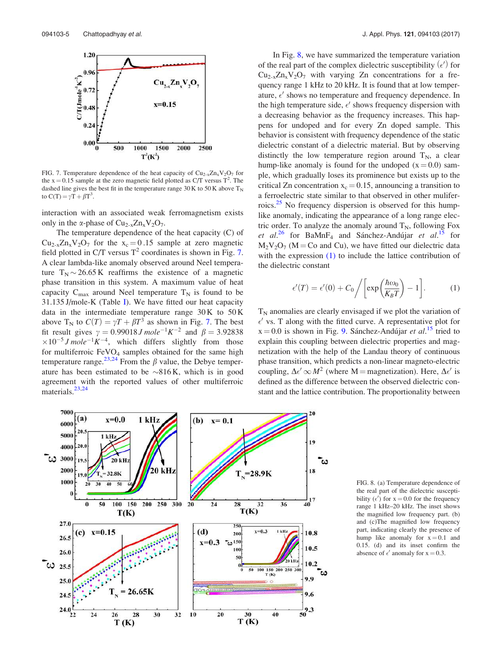

FIG. 7. Temperature dependence of the heat capacity of  $Cu_{2-x}Zn_xV_2O_7$  for the  $x = 0.15$  sample at the zero magnetic field plotted as C/T versus  $T^2$ . The dashed line gives the best fit in the temperature range 30 K to 50 K above  $T_N$ to C(T) =  $\gamma \overline{T} + \beta T^3$ .

interaction with an associated weak ferromagnetism exists only in the  $\alpha$ -phase of Cu<sub>2-x</sub>Zn<sub>x</sub>V<sub>2</sub>O<sub>7</sub>.

The temperature dependence of the heat capacity (C) of  $Cu_{2-x}Zn_xV_2O_7$  for the  $x_c = 0.15$  sample at zero magnetic field plotted in C/T versus  $T^2$  coordinates is shown in Fig. 7. A clear lambda-like anomaly observed around Neel temperature  $T_N \sim 26.65 \text{ K}$  reaffirms the existence of a magnetic phase transition in this system. A maximum value of heat capacity  $C_{\text{max}}$  around Neel temperature  $T_N$  is found to be 31.135 J/mole-K (Table I). We have fitted our heat capacity data in the intermediate temperature range  $30 K$  to  $50 K$ above T<sub>N</sub> to  $C(T) = \gamma T + \beta T^3$  as shown in Fig. 7. The best fit result gives  $\gamma = 0.99018 J$  mole<sup>-1</sup>K<sup>-2</sup> and  $\beta = 3.92838$  $\times 10^{-5}$  J mole<sup>-1</sup>K<sup>-4</sup>, which differs slightly from those for multiferroic  $FeVO<sub>4</sub>$  samples obtained for the same high temperature range.<sup>23,24</sup> From the  $\beta$  value, the Debye temperature has been estimated to be  $\sim$ 816 K, which is in good agreement with the reported values of other multiferroic materials. $23,24$ 

In Fig. 8, we have summarized the temperature variation of the real part of the complex dielectric susceptibility  $(\epsilon')$  for  $Cu_{2-x}Zn_xV_2O_7$  with varying Zn concentrations for a frequency range 1 kHz to 20 kHz. It is found that at low temperature,  $\epsilon'$  shows no temperature and frequency dependence. In the high temperature side,  $\epsilon'$  shows frequency dispersion with a decreasing behavior as the frequency increases. This happens for undoped and for every Zn doped sample. This behavior is consistent with frequency dependence of the static dielectric constant of a dielectric material. But by observing distinctly the low temperature region around  $T_N$ , a clear hump-like anomaly is found for the undoped  $(x=0.0)$  sample, which gradually loses its prominence but exists up to the critical Zn concentration  $x_c = 0.15$ , announcing a transition to a ferroelectric state similar to that observed in other muliferroics.<sup>25</sup> No frequency dispersion is observed for this humplike anomaly, indicating the appearance of a long range electric order. To analyze the anomaly around  $T_N$ , following Fox et al.<sup>26</sup> for BaMnF<sub>4</sub> and Sánchez-Andújar et al.<sup>15</sup> for  $M_2V_2O_7$  (M = Co and Cu), we have fitted our dielectric data with the expression (1) to include the lattice contribution of the dielectric constant

$$
\epsilon'(T) = \epsilon'(0) + C_0 \bigg/ \bigg[ \exp\bigg( \frac{\hbar \omega_0}{K_B T} \bigg) - 1 \bigg]. \tag{1}
$$

 $T_N$  anomalies are clearly envisaged if we plot the variation of  $\epsilon'$  vs. T along with the fitted curve. A representative plot for  $x = 0.0$  is shown in Fig. 9. Sánchez-Andújar *et al.*<sup>15</sup> tried to explain this coupling between dielectric properties and magnetization with the help of the Landau theory of continuous phase transition, which predicts a non-linear magneto-electric coupling,  $\Delta \epsilon' \infty M^2$  (where M = magnetization). Here,  $\Delta \epsilon'$  is defined as the difference between the observed dielectric constant and the lattice contribution. The proportionality between



FIG. 8. (a) Temperature dependence of the real part of the dielectric susceptibility  $(\epsilon')$  for x = 0.0 for the frequency range 1 kHz–20 kHz. The inset shows the magnified low frequency part. (b) and (c)The magnified low frequency part, indicating clearly the presence of hump like anomaly for  $x = 0.1$  and 0.15. (d) and its inset confirm the absence of  $\epsilon'$  anomaly for  $x = 0.3$ .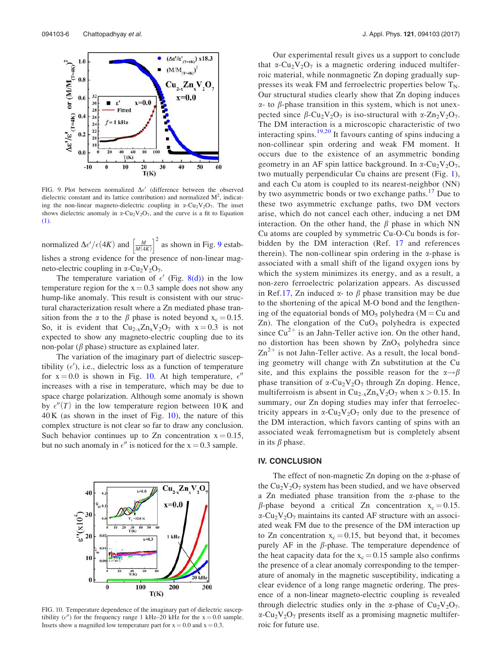

FIG. 9. Plot between normalized  $\Delta \epsilon'$  (difference between the observed dielectric constant and its lattice contribution) and normalized  $M^2$ , indicating the non-linear magneto-dielectric coupling in  $\alpha$ -Cu<sub>2</sub>V<sub>2</sub>O<sub>7</sub>. The inset shows dielectric anomaly in  $\alpha$ -Cu<sub>2</sub>V<sub>2</sub>O<sub>7</sub>, and the curve is a fit to Equation (1).

normalized  $\Delta \epsilon'/\epsilon (4K)$  and  $\left[\frac{M}{M(4K)}\right]^2$  as shown in Fig. 9 establishes a strong evidence for the presence of non-linear magneto-electric coupling in  $\alpha$ -Cu<sub>2</sub>V<sub>2</sub>O<sub>7</sub>.

The temperature variation of  $\epsilon'$  (Fig. 8(d)) in the low temperature region for the  $x = 0.3$  sample does not show any hump-like anomaly. This result is consistent with our structural characterization result where a Zn mediated phase transition from the  $\alpha$  to the  $\beta$  phase is noted beyond  $x_c = 0.15$ . So, it is evident that  $Cu_{2-x}Zn_xV_2O_7$  with  $x=0.3$  is not expected to show any magneto-electric coupling due to its non-polar ( $\beta$  phase) structure as explained later.

The variation of the imaginary part of dielectric susceptibility  $(\epsilon')$ , i.e., dielectric loss as a function of temperature for  $x = 0.0$  is shown in Fig. 10. At high temperature,  $\epsilon$ <sup>"</sup> increases with a rise in temperature, which may be due to space charge polarization. Although some anomaly is shown by  $\epsilon''(T)$  in the low temperature region between 10 K and  $40 K$  (as shown in the inset of Fig. 10), the nature of this complex structure is not clear so far to draw any conclusion. Such behavior continues up to Zn concentration  $x = 0.15$ , but no such anomaly in  $\epsilon$ <sup>*n*</sup> is noticed for the x = 0.3 sample.



FIG. 10. Temperature dependence of the imaginary part of dielectric susceptibility ( $\epsilon$ ") for the frequency range 1 kHz–20 kHz for the x = 0.0 sample. Insets show a magnified low temperature part for  $x = 0.0$  and  $x = 0.3$ .

Our experimental result gives us a support to conclude that  $\alpha$ -Cu<sub>2</sub>V<sub>2</sub>O<sub>7</sub> is a magnetic ordering induced multiferroic material, while nonmagnetic Zn doping gradually suppresses its weak FM and ferroelectric properties below  $T_N$ . Our structural studies clearly show that Zn doping induces  $\alpha$ - to  $\beta$ -phase transition in this system, which is not unexpected since  $\beta$ -Cu<sub>2</sub>V<sub>2</sub>O<sub>7</sub> is iso-structural with  $\alpha$ -Zn<sub>2</sub>V<sub>2</sub>O<sub>7</sub>. The DM interaction is a microscopic characteristic of two interacting spins. $19,20$  It favours canting of spins inducing a non-collinear spin ordering and weak FM moment. It occurs due to the existence of an asymmetric bonding geometry in an AF spin lattice background. In  $\alpha$ -Cu<sub>2</sub>V<sub>2</sub>O<sub>7</sub>, two mutually perpendicular Cu chains are present (Fig. 1), and each Cu atom is coupled to its nearest-neighbor (NN) by two asymmetric bonds or two exchange paths.<sup>17</sup> Due to these two asymmetric exchange paths, two DM vectors arise, which do not cancel each other, inducing a net DM interaction. On the other hand, the  $\beta$  phase in which NN Cu atoms are coupled by symmetric Cu-O-Cu bonds is forbidden by the DM interaction (Ref. 17 and references therein). The non-collinear spin ordering in the  $\alpha$ -phase is associated with a small shift of the ligand oxygen ions by which the system minimizes its energy, and as a result, a non-zero ferroelectric polarization appears. As discussed in Ref.17, Zn induced  $\alpha$ - to  $\beta$  phase transition may be due to the shortening of the apical M-O bond and the lengthening of the equatorial bonds of  $MO_5$  polyhedra (M = Cu and Zn). The elongation of the  $CuO<sub>5</sub>$  polyhedra is expected since  $Cu^{2+}$  is an Jahn-Teller active ion. On the other hand, no distortion has been shown by  $ZnO<sub>5</sub>$  polyhedra since  $\text{Zn}^{2+}$  is not Jahn-Teller active. As a result, the local bonding geometry will change with Zn substitution at the Cu site, and this explains the possible reason for the  $\alpha \rightarrow \beta$ phase transition of  $\alpha$ -Cu<sub>2</sub>V<sub>2</sub>O<sub>7</sub> through Zn doping. Hence, multiferroism is absent in  $Cu_{2-x}Zn_xV_2O_7$  when  $x > 0.15$ . In summary, our Zn doping studies may infer that ferroelectricity appears in  $\alpha$ -Cu<sub>2</sub>V<sub>2</sub>O<sub>7</sub> only due to the presence of the DM interaction, which favors canting of spins with an associated weak ferromagnetism but is completely absent in its  $\beta$  phase.

#### IV. CONCLUSION

The effect of non-magnetic Zn doping on the  $\alpha$ -phase of the  $Cu<sub>2</sub>V<sub>2</sub>O<sub>7</sub>$  system has been studied, and we have observed a Zn mediated phase transition from the  $\alpha$ -phase to the  $\beta$ -phase beyond a critical Zn concentration  $x_c = 0.15$ .  $\alpha$ -Cu<sub>2</sub>V<sub>2</sub>O<sub>7</sub> maintains its canted AF structure with an associated weak FM due to the presence of the DM interaction up to Zn concentration  $x_c = 0.15$ , but beyond that, it becomes purely AF in the  $\beta$ -phase. The temperature dependence of the heat capacity data for the  $x_c = 0.15$  sample also confirms the presence of a clear anomaly corresponding to the temperature of anomaly in the magnetic susceptibility, indicating a clear evidence of a long range magnetic ordering. The presence of a non-linear magneto-electric coupling is revealed through dielectric studies only in the  $\alpha$ -phase of Cu<sub>2</sub>V<sub>2</sub>O<sub>7</sub>.  $\alpha$ -Cu<sub>2</sub>V<sub>2</sub>O<sub>7</sub> presents itself as a promising magnetic multiferroic for future use.